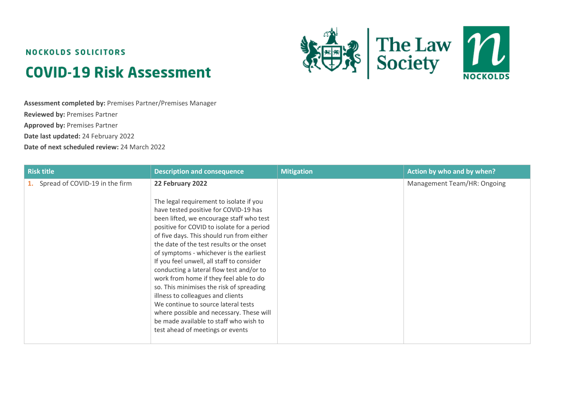# **NOCKOLDS SOLICITORS COVID-19 Risk Assessment**



**Assessment completed by:** Premises Partner/Premises Manager **Reviewed by:** Premises Partner **Approved by:** Premises Partner **Date last updated:** 24 February 2022

**Date of next scheduled review:** 24 March 2022

| <b>Risk title</b>                 | <b>Description and consequence</b>                                                                                                                                                                                                                                                                                                                                                                                                                                                                                                                                                                                                                                                                                       | <b>Mitigation</b> | Action by who and by when?  |
|-----------------------------------|--------------------------------------------------------------------------------------------------------------------------------------------------------------------------------------------------------------------------------------------------------------------------------------------------------------------------------------------------------------------------------------------------------------------------------------------------------------------------------------------------------------------------------------------------------------------------------------------------------------------------------------------------------------------------------------------------------------------------|-------------------|-----------------------------|
| 1. Spread of COVID-19 in the firm | 22 February 2022<br>The legal requirement to isolate if you<br>have tested positive for COVID-19 has<br>been lifted, we encourage staff who test<br>positive for COVID to isolate for a period<br>of five days. This should run from either<br>the date of the test results or the onset<br>of symptoms - whichever is the earliest<br>If you feel unwell, all staff to consider<br>conducting a lateral flow test and/or to<br>work from home if they feel able to do<br>so. This minimises the risk of spreading<br>illness to colleagues and clients<br>We continue to source lateral tests<br>where possible and necessary. These will<br>be made available to staff who wish to<br>test ahead of meetings or events |                   | Management Team/HR: Ongoing |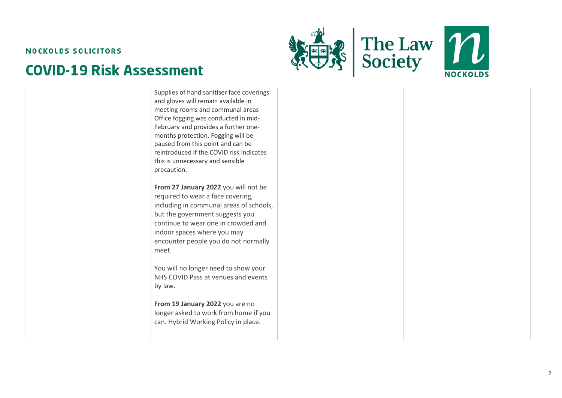



| Supplies of hand sanitiser face coverings<br>and gloves will remain available in<br>meeting rooms and communal areas<br>Office fogging was conducted in mid-<br>February and provides a further one-<br>months protection. Fogging will be<br>paused from this point and can be<br>reintroduced if the COVID risk indicates<br>this is unnecessary and sensible<br>precaution. |  |
|--------------------------------------------------------------------------------------------------------------------------------------------------------------------------------------------------------------------------------------------------------------------------------------------------------------------------------------------------------------------------------|--|
| From 27 January 2022 you will not be<br>required to wear a face covering,<br>including in communal areas of schools,<br>but the government suggests you<br>continue to wear one in crowded and<br>indoor spaces where you may<br>encounter people you do not normally<br>meet.                                                                                                 |  |
| You will no longer need to show your<br>NHS COVID Pass at venues and events<br>by law.                                                                                                                                                                                                                                                                                         |  |
| From 19 January 2022 you are no<br>longer asked to work from home if you<br>can. Hybrid Working Policy in place.                                                                                                                                                                                                                                                               |  |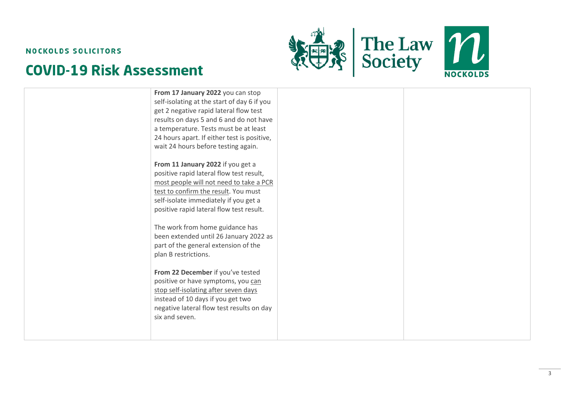



| a temperature. Tests must be at least<br>24 hours apart. If either test is positive,<br>wait 24 hours before testing again.<br>From 11 January 2022 if you get a<br>positive rapid lateral flow test result,<br>most people will not need to take a PCR<br>test to confirm the result. You must<br>self-isolate immediately if you get a<br>positive rapid lateral flow test result.<br>The work from home guidance has<br>been extended until 26 January 2022 as |  |
|-------------------------------------------------------------------------------------------------------------------------------------------------------------------------------------------------------------------------------------------------------------------------------------------------------------------------------------------------------------------------------------------------------------------------------------------------------------------|--|
| part of the general extension of the<br>plan B restrictions.<br>From 22 December if you've tested<br>positive or have symptoms, you can<br>stop self-isolating after seven days<br>instead of 10 days if you get two<br>negative lateral flow test results on day<br>six and seven.                                                                                                                                                                               |  |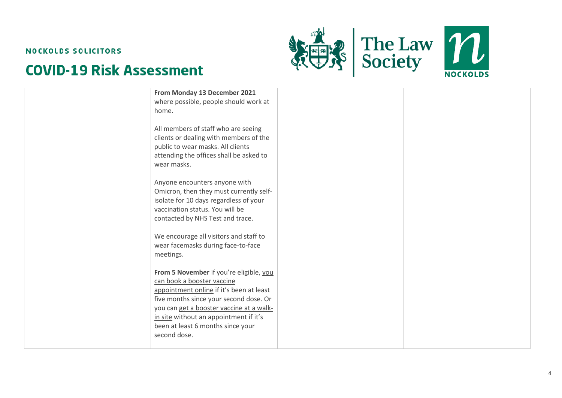



| From Monday 13 December 2021<br>where possible, people should work at<br>home.                                                                                                                                                                                                                         |  |
|--------------------------------------------------------------------------------------------------------------------------------------------------------------------------------------------------------------------------------------------------------------------------------------------------------|--|
| All members of staff who are seeing<br>clients or dealing with members of the<br>public to wear masks. All clients<br>attending the offices shall be asked to<br>wear masks.                                                                                                                           |  |
| Anyone encounters anyone with<br>Omicron, then they must currently self-<br>isolate for 10 days regardless of your<br>vaccination status. You will be<br>contacted by NHS Test and trace.                                                                                                              |  |
| We encourage all visitors and staff to<br>wear facemasks during face-to-face<br>meetings.                                                                                                                                                                                                              |  |
| From 5 November if you're eligible, you<br>can book a booster vaccine<br>appointment online if it's been at least<br>five months since your second dose. Or<br>you can get a booster vaccine at a walk-<br>in site without an appointment if it's<br>been at least 6 months since your<br>second dose. |  |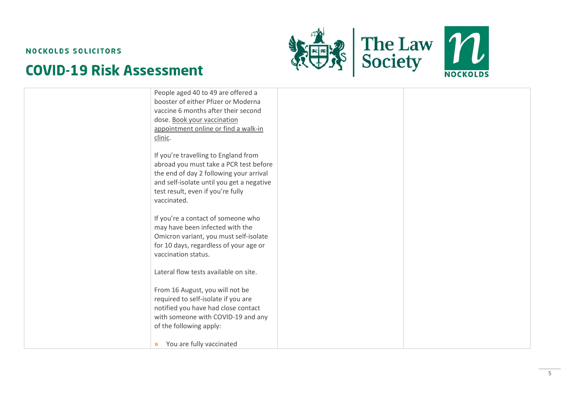



| People aged 40 to 49 are offered a<br>booster of either Pfizer or Moderna<br>vaccine 6 months after their second<br>dose. Book your vaccination<br>appointment online or find a walk-in<br>clinic.                         |  |
|----------------------------------------------------------------------------------------------------------------------------------------------------------------------------------------------------------------------------|--|
| If you're travelling to England from<br>abroad you must take a PCR test before<br>the end of day 2 following your arrival<br>and self-isolate until you get a negative<br>test result, even if you're fully<br>vaccinated. |  |
| If you're a contact of someone who<br>may have been infected with the<br>Omicron variant, you must self-isolate<br>for 10 days, regardless of your age or<br>vaccination status.                                           |  |
| Lateral flow tests available on site.<br>From 16 August, you will not be<br>required to self-isolate if you are<br>notified you have had close contact<br>with someone with COVID-19 and any<br>of the following apply:    |  |
| You are fully vaccinated<br>$\mathcal{Y}$                                                                                                                                                                                  |  |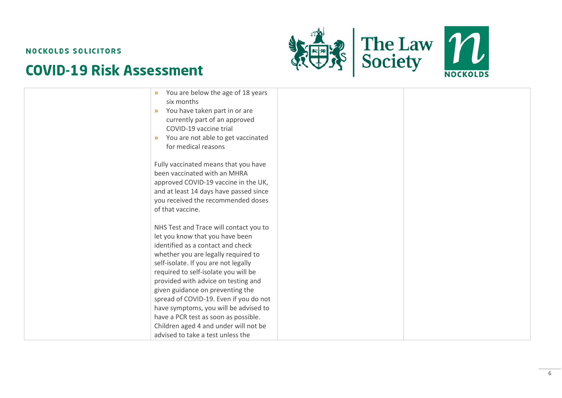



| $\boldsymbol{\mathcal{Y}}$<br>six months<br>$\boldsymbol{\mathcal{Y}}$<br>COVID-19 vaccine trial<br>$\mathcal{Y}$<br>for medical reasons                                                 | You are below the age of 18 years<br>You have taken part in or are<br>currently part of an approved<br>You are not able to get vaccinated                                                                                                                                                |
|------------------------------------------------------------------------------------------------------------------------------------------------------------------------------------------|------------------------------------------------------------------------------------------------------------------------------------------------------------------------------------------------------------------------------------------------------------------------------------------|
| been vaccinated with an MHRA<br>of that vaccine.                                                                                                                                         | Fully vaccinated means that you have<br>approved COVID-19 vaccine in the UK,<br>and at least 14 days have passed since<br>you received the recommended doses                                                                                                                             |
| let you know that you have been<br>identified as a contact and check<br>self-isolate. If you are not legally<br>required to self-isolate you will be<br>given guidance on preventing the | NHS Test and Trace will contact you to<br>whether you are legally required to<br>provided with advice on testing and<br>spread of COVID-19. Even if you do not<br>have symptoms, you will be advised to<br>have a PCR test as soon as possible.<br>Children aged 4 and under will not be |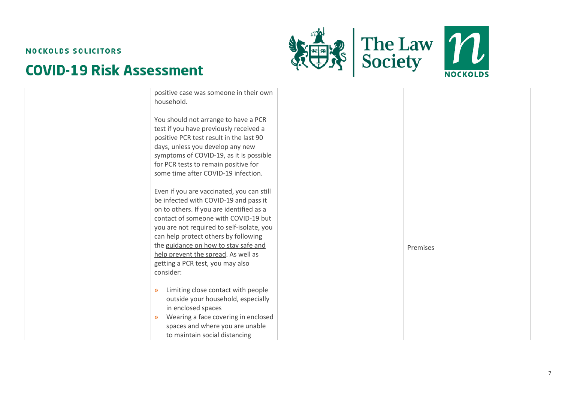



| positive case was someone in their own<br>household.                                                                                                                                                                                                                                                                                                                                        |          |
|---------------------------------------------------------------------------------------------------------------------------------------------------------------------------------------------------------------------------------------------------------------------------------------------------------------------------------------------------------------------------------------------|----------|
| You should not arrange to have a PCR<br>test if you have previously received a<br>positive PCR test result in the last 90<br>days, unless you develop any new<br>symptoms of COVID-19, as it is possible<br>for PCR tests to remain positive for<br>some time after COVID-19 infection.                                                                                                     |          |
| Even if you are vaccinated, you can still<br>be infected with COVID-19 and pass it<br>on to others. If you are identified as a<br>contact of someone with COVID-19 but<br>you are not required to self-isolate, you<br>can help protect others by following<br>the guidance on how to stay safe and<br>help prevent the spread. As well as<br>getting a PCR test, you may also<br>consider: | Premises |
| Limiting close contact with people<br>$\rightarrow$<br>outside your household, especially<br>in enclosed spaces<br>Wearing a face covering in enclosed<br>$\mathcal{Y}$<br>spaces and where you are unable<br>to maintain social distancing                                                                                                                                                 |          |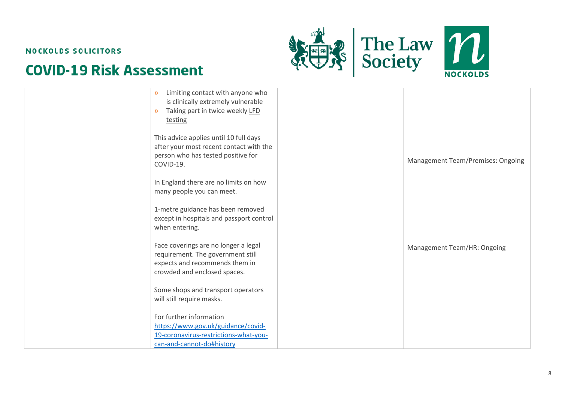



| Limiting contact with anyone who<br>$\mathbf{y}$<br>is clinically extremely vulnerable<br>Taking part in twice weekly LFD<br>$\mathcal{Y}$<br>testing |                                          |
|-------------------------------------------------------------------------------------------------------------------------------------------------------|------------------------------------------|
| This advice applies until 10 full days<br>after your most recent contact with the<br>person who has tested positive for<br>COVID-19.                  | <b>Management Team/Premises: Ongoing</b> |
| In England there are no limits on how<br>many people you can meet.                                                                                    |                                          |
| 1-metre guidance has been removed<br>except in hospitals and passport control<br>when entering.                                                       |                                          |
| Face coverings are no longer a legal<br>requirement. The government still<br>expects and recommends them in<br>crowded and enclosed spaces.           | Management Team/HR: Ongoing              |
| Some shops and transport operators<br>will still require masks.                                                                                       |                                          |
| For further information<br>https://www.gov.uk/guidance/covid-<br>19-coronavirus-restrictions-what-you-<br>can-and-cannot-do#history                   |                                          |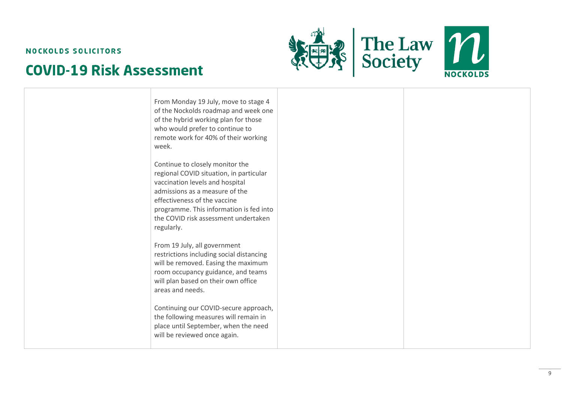



| From Monday 19 July, move to stage 4<br>of the Nockolds roadmap and week one<br>of the hybrid working plan for those<br>who would prefer to continue to<br>remote work for 40% of their working<br>week.                                                                                           |  |
|----------------------------------------------------------------------------------------------------------------------------------------------------------------------------------------------------------------------------------------------------------------------------------------------------|--|
| Continue to closely monitor the<br>regional COVID situation, in particular<br>vaccination levels and hospital<br>admissions as a measure of the<br>effectiveness of the vaccine<br>programme. This information is fed into<br>the COVID risk assessment undertaken<br>regularly.                   |  |
| From 19 July, all government<br>restrictions including social distancing<br>will be removed. Easing the maximum<br>room occupancy guidance, and teams<br>will plan based on their own office<br>areas and needs.<br>Continuing our COVID-secure approach,<br>the following measures will remain in |  |
| place until September, when the need<br>will be reviewed once again.                                                                                                                                                                                                                               |  |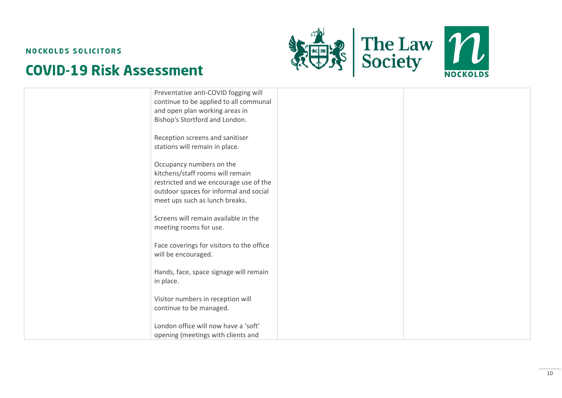



| London office will now have a 'soft'<br>opening (meetings with clients and                                                                                                         |  |
|------------------------------------------------------------------------------------------------------------------------------------------------------------------------------------|--|
| Visitor numbers in reception will<br>continue to be managed.                                                                                                                       |  |
| Hands, face, space signage will remain<br>in place.                                                                                                                                |  |
| Face coverings for visitors to the office<br>will be encouraged.                                                                                                                   |  |
| Screens will remain available in the<br>meeting rooms for use.                                                                                                                     |  |
| Occupancy numbers on the<br>kitchens/staff rooms will remain<br>restricted and we encourage use of the<br>outdoor spaces for informal and social<br>meet ups such as lunch breaks. |  |
| Reception screens and sanitiser<br>stations will remain in place.                                                                                                                  |  |
| Preventative anti-COVID fogging will<br>continue to be applied to all communal<br>and open plan working areas in<br>Bishop's Stortford and London.                                 |  |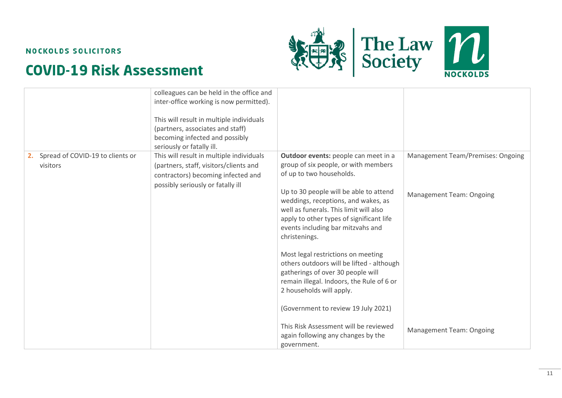



|                                                 | colleagues can be held in the office and<br>inter-office working is now permitted).<br>This will result in multiple individuals<br>(partners, associates and staff)<br>becoming infected and possibly<br>seriously or fatally ill. |                                                                                                                                                                                                                                                                                                                                                                                                                                                                                                                                        |                                                                      |
|-------------------------------------------------|------------------------------------------------------------------------------------------------------------------------------------------------------------------------------------------------------------------------------------|----------------------------------------------------------------------------------------------------------------------------------------------------------------------------------------------------------------------------------------------------------------------------------------------------------------------------------------------------------------------------------------------------------------------------------------------------------------------------------------------------------------------------------------|----------------------------------------------------------------------|
| 2. Spread of COVID-19 to clients or<br>visitors | This will result in multiple individuals<br>(partners, staff, visitors/clients and<br>contractors) becoming infected and<br>possibly seriously or fatally ill                                                                      | Outdoor events: people can meet in a<br>group of six people, or with members<br>of up to two households.<br>Up to 30 people will be able to attend<br>weddings, receptions, and wakes, as<br>well as funerals. This limit will also<br>apply to other types of significant life<br>events including bar mitzvahs and<br>christenings.<br>Most legal restrictions on meeting<br>others outdoors will be lifted - although<br>gatherings of over 30 people will<br>remain illegal. Indoors, the Rule of 6 or<br>2 households will apply. | Management Team/Premises: Ongoing<br><b>Management Team: Ongoing</b> |
|                                                 |                                                                                                                                                                                                                                    | (Government to review 19 July 2021)<br>This Risk Assessment will be reviewed<br>again following any changes by the<br>government.                                                                                                                                                                                                                                                                                                                                                                                                      | <b>Management Team: Ongoing</b>                                      |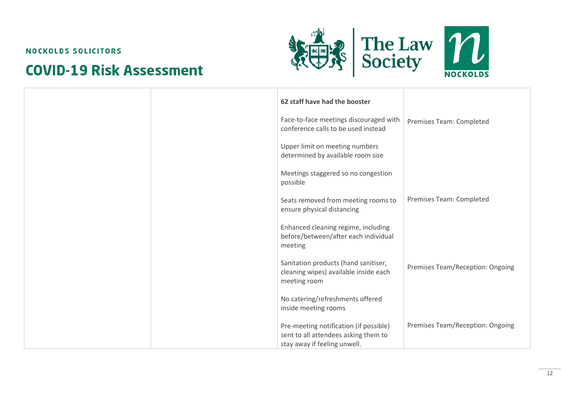



|  | 62 staff have had the booster                                                                                  |                                  |
|--|----------------------------------------------------------------------------------------------------------------|----------------------------------|
|  | Face-to-face meetings discouraged with<br>conference calls to be used instead                                  | Premises Team: Completed         |
|  | Upper limit on meeting numbers<br>determined by available room size                                            |                                  |
|  | Meetings staggered so no congestion<br>possible                                                                |                                  |
|  | Seats removed from meeting rooms to<br>ensure physical distancing                                              | Premises Team: Completed         |
|  | Enhanced cleaning regime, including<br>before/between/after each individual<br>meeting                         |                                  |
|  | Sanitation products (hand sanitiser,<br>cleaning wipes) available inside each<br>meeting room                  | Premises Team/Reception: Ongoing |
|  | No catering/refreshments offered<br>inside meeting rooms                                                       |                                  |
|  | Pre-meeting notification (if possible)<br>sent to all attendees asking them to<br>stay away if feeling unwell. | Premises Team/Reception: Ongoing |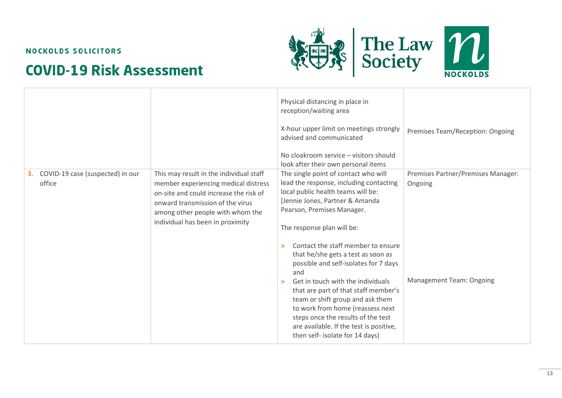



|                                                  |                                                                                                                                                                                                                                       | Physical distancing in place in<br>reception/waiting area<br>X-hour upper limit on meetings strongly<br>advised and communicated<br>No cloakroom service - visitors should<br>look after their own personal items                                                                                                                                                                                                                                                                                                                                                                                                                                          | Premises Team/Reception: Ongoing                                                 |
|--------------------------------------------------|---------------------------------------------------------------------------------------------------------------------------------------------------------------------------------------------------------------------------------------|------------------------------------------------------------------------------------------------------------------------------------------------------------------------------------------------------------------------------------------------------------------------------------------------------------------------------------------------------------------------------------------------------------------------------------------------------------------------------------------------------------------------------------------------------------------------------------------------------------------------------------------------------------|----------------------------------------------------------------------------------|
| COVID-19 case (suspected) in our<br>3.<br>office | This may result in the individual staff<br>member experiencing medical distress<br>on-site and could increase the risk of<br>onward transmission of the virus<br>among other people with whom the<br>individual has been in proximity | The single point of contact who will<br>lead the response, including contacting<br>local public health teams will be:<br>[Jennie Jones, Partner & Amanda<br>Pearson, Premises Manager.<br>The response plan will be:<br>Contact the staff member to ensure<br>$\mathbf{y}$<br>that he/she gets a test as soon as<br>possible and self-isolates for 7 days<br>and<br>Get in touch with the individuals<br>$\mathcal{Y}$<br>that are part of that staff member's<br>team or shift group and ask them<br>to work from home (reassess next<br>steps once the results of the test<br>are available. If the test is positive,<br>then self- isolate for 14 days) | Premises Partner/Premises Manager:<br>Ongoing<br><b>Management Team: Ongoing</b> |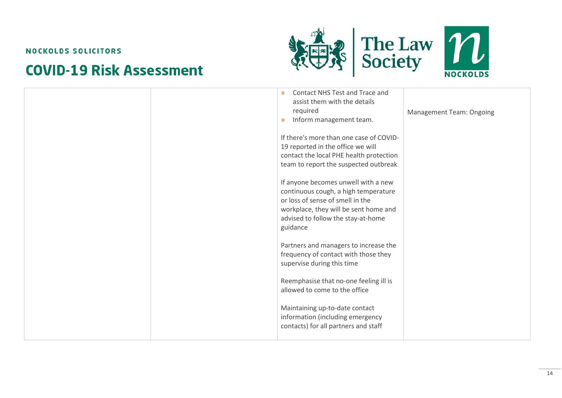



|  | Contact NHS Test and Trace and<br>$\mathbf{v}$<br>assist them with the details<br>required<br>Inform management team.<br>$\mathbf{y}$                                                                      | <b>Management Team: Ongoing</b> |
|--|------------------------------------------------------------------------------------------------------------------------------------------------------------------------------------------------------------|---------------------------------|
|  | If there's more than one case of COVID-<br>19 reported in the office we will<br>contact the local PHE health protection<br>team to report the suspected outbreak                                           |                                 |
|  | If anyone becomes unwell with a new<br>continuous cough, a high temperature<br>or loss of sense of smell in the<br>workplace, they will be sent home and<br>advised to follow the stay-at-home<br>guidance |                                 |
|  | Partners and managers to increase the<br>frequency of contact with those they<br>supervise during this time                                                                                                |                                 |
|  | Reemphasise that no-one feeling ill is<br>allowed to come to the office                                                                                                                                    |                                 |
|  | Maintaining up-to-date contact<br>information (including emergency<br>contacts) for all partners and staff                                                                                                 |                                 |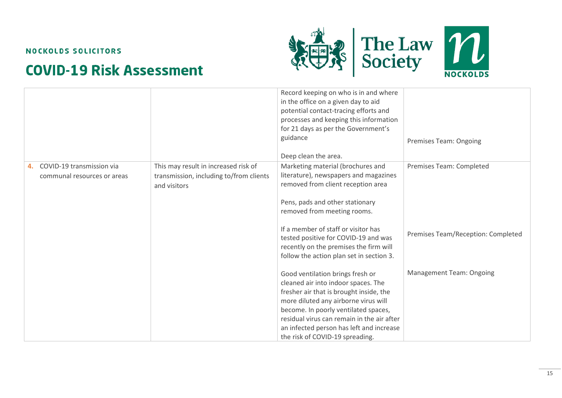



|    |                             |                                         | Record keeping on who is in and where<br>in the office on a given day to aid<br>potential contact-tracing efforts and |                                    |
|----|-----------------------------|-----------------------------------------|-----------------------------------------------------------------------------------------------------------------------|------------------------------------|
|    |                             |                                         | processes and keeping this information                                                                                |                                    |
|    |                             |                                         | for 21 days as per the Government's                                                                                   |                                    |
|    |                             |                                         | guidance                                                                                                              | <b>Premises Team: Ongoing</b>      |
|    |                             |                                         | Deep clean the area.                                                                                                  |                                    |
| 4. | COVID-19 transmission via   | This may result in increased risk of    | Marketing material (brochures and                                                                                     | Premises Team: Completed           |
|    | communal resources or areas | transmission, including to/from clients | literature), newspapers and magazines                                                                                 |                                    |
|    |                             | and visitors                            | removed from client reception area                                                                                    |                                    |
|    |                             |                                         | Pens, pads and other stationary                                                                                       |                                    |
|    |                             |                                         | removed from meeting rooms.                                                                                           |                                    |
|    |                             |                                         |                                                                                                                       |                                    |
|    |                             |                                         | If a member of staff or visitor has                                                                                   | Premises Team/Reception: Completed |
|    |                             |                                         | tested positive for COVID-19 and was                                                                                  |                                    |
|    |                             |                                         | recently on the premises the firm will                                                                                |                                    |
|    |                             |                                         | follow the action plan set in section 3.                                                                              |                                    |
|    |                             |                                         | Good ventilation brings fresh or                                                                                      | <b>Management Team: Ongoing</b>    |
|    |                             |                                         | cleaned air into indoor spaces. The                                                                                   |                                    |
|    |                             |                                         | fresher air that is brought inside, the                                                                               |                                    |
|    |                             |                                         | more diluted any airborne virus will                                                                                  |                                    |
|    |                             |                                         | become. In poorly ventilated spaces,                                                                                  |                                    |
|    |                             |                                         | residual virus can remain in the air after                                                                            |                                    |
|    |                             |                                         | an infected person has left and increase                                                                              |                                    |
|    |                             |                                         | the risk of COVID-19 spreading.                                                                                       |                                    |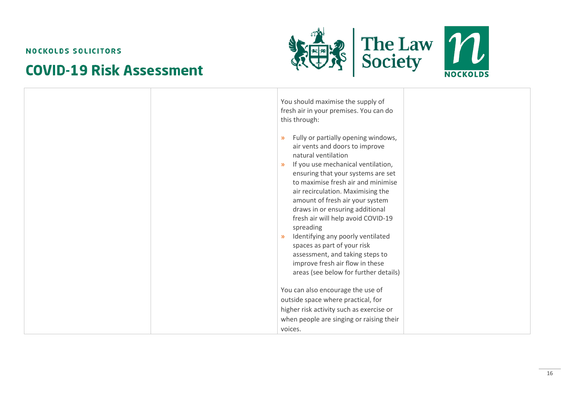



| You should maximise the supply of<br>fresh air in your premises. You can do<br>this through:                                                                                                                                                                                                                                                                                                                                                                                                                                                                                                                       |
|--------------------------------------------------------------------------------------------------------------------------------------------------------------------------------------------------------------------------------------------------------------------------------------------------------------------------------------------------------------------------------------------------------------------------------------------------------------------------------------------------------------------------------------------------------------------------------------------------------------------|
| Fully or partially opening windows,<br>$\mathcal{D}$<br>air vents and doors to improve<br>natural ventilation<br>If you use mechanical ventilation,<br>$\mathcal{Y}$<br>ensuring that your systems are set<br>to maximise fresh air and minimise<br>air recirculation. Maximising the<br>amount of fresh air your system<br>draws in or ensuring additional<br>fresh air will help avoid COVID-19<br>spreading<br>Identifying any poorly ventilated<br>$\mathcal{Y}$<br>spaces as part of your risk<br>assessment, and taking steps to<br>improve fresh air flow in these<br>areas (see below for further details) |
| You can also encourage the use of<br>outside space where practical, for                                                                                                                                                                                                                                                                                                                                                                                                                                                                                                                                            |
| higher risk activity such as exercise or                                                                                                                                                                                                                                                                                                                                                                                                                                                                                                                                                                           |
| when people are singing or raising their<br>voices.                                                                                                                                                                                                                                                                                                                                                                                                                                                                                                                                                                |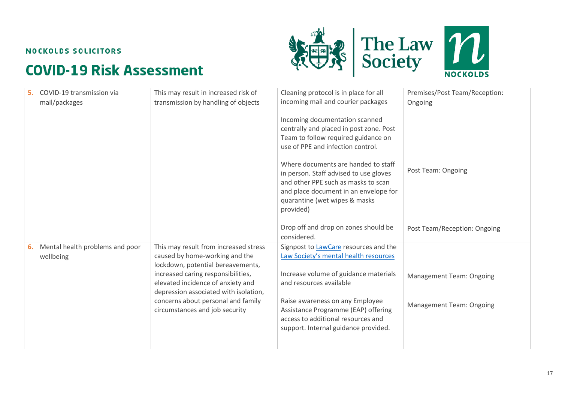



| 5. | COVID-19 transmission via                    | This may result in increased risk of                                                                             | Cleaning protocol is in place for all                                                                                                                                                                                                                                                                                                                                | Premises/Post Team/Reception:   |
|----|----------------------------------------------|------------------------------------------------------------------------------------------------------------------|----------------------------------------------------------------------------------------------------------------------------------------------------------------------------------------------------------------------------------------------------------------------------------------------------------------------------------------------------------------------|---------------------------------|
|    | mail/packages                                | transmission by handling of objects                                                                              | incoming mail and courier packages                                                                                                                                                                                                                                                                                                                                   | Ongoing                         |
|    |                                              |                                                                                                                  | Incoming documentation scanned<br>centrally and placed in post zone. Post<br>Team to follow required guidance on<br>use of PPE and infection control.<br>Where documents are handed to staff<br>in person. Staff advised to use gloves<br>and other PPE such as masks to scan<br>and place document in an envelope for<br>quarantine (wet wipes & masks<br>provided) | Post Team: Ongoing              |
|    |                                              |                                                                                                                  | Drop off and drop on zones should be<br>considered.                                                                                                                                                                                                                                                                                                                  | Post Team/Reception: Ongoing    |
| 6. | Mental health problems and poor<br>wellbeing | This may result from increased stress<br>caused by home-working and the<br>lockdown, potential bereavements,     | Signpost to <b>LawCare</b> resources and the<br>Law Society's mental health resources                                                                                                                                                                                                                                                                                |                                 |
|    |                                              | increased caring responsibilities,<br>elevated incidence of anxiety and<br>depression associated with isolation, | Increase volume of guidance materials<br>and resources available                                                                                                                                                                                                                                                                                                     | <b>Management Team: Ongoing</b> |
|    |                                              | concerns about personal and family<br>circumstances and job security                                             | Raise awareness on any Employee<br>Assistance Programme (EAP) offering<br>access to additional resources and<br>support. Internal guidance provided.                                                                                                                                                                                                                 | <b>Management Team: Ongoing</b> |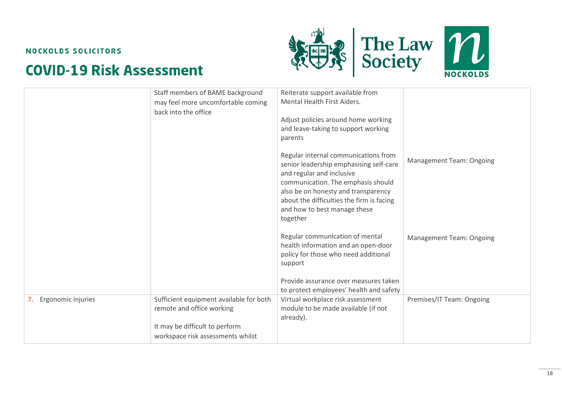



|                          | Staff members of BAME background<br>may feel more uncomfortable coming<br>back into the office                                              | Reiterate support available from<br>Mental Health First Aiders.<br>Adjust policies around home working<br>and leave-taking to support working<br>parents                                                                                                                           |                                 |
|--------------------------|---------------------------------------------------------------------------------------------------------------------------------------------|------------------------------------------------------------------------------------------------------------------------------------------------------------------------------------------------------------------------------------------------------------------------------------|---------------------------------|
|                          |                                                                                                                                             | Regular internal communications from<br>senior leadership emphasising self-care<br>and regular and inclusive<br>communication. The emphasis should<br>also be on honesty and transparency<br>about the difficulties the firm is facing<br>and how to best manage these<br>together | <b>Management Team: Ongoing</b> |
|                          |                                                                                                                                             | Regular communication of mental<br>health information and an open-door<br>policy for those who need additional<br>support<br>Provide assurance over measures taken<br>to protect employees' health and safety                                                                      | <b>Management Team: Ongoing</b> |
| Ergonomic injuries<br>7. | Sufficient equipment available for both<br>remote and office working<br>It may be difficult to perform<br>workspace risk assessments whilst | Virtual workplace risk assessment<br>module to be made available (if not<br>already).                                                                                                                                                                                              | Premises/IT Team: Ongoing       |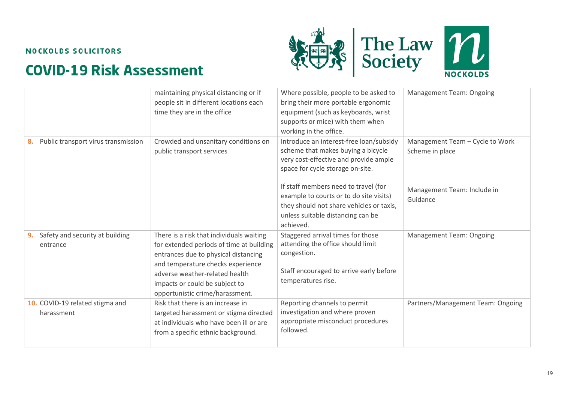



|                                                   | maintaining physical distancing or if<br>people sit in different locations each<br>time they are in the office                                                                                                                                                           | Where possible, people to be asked to<br>bring their more portable ergonomic<br>equipment (such as keyboards, wrist<br>supports or mice) with them when<br>working in the office. | <b>Management Team: Ongoing</b>                    |
|---------------------------------------------------|--------------------------------------------------------------------------------------------------------------------------------------------------------------------------------------------------------------------------------------------------------------------------|-----------------------------------------------------------------------------------------------------------------------------------------------------------------------------------|----------------------------------------------------|
| Public transport virus transmission<br>8.         | Crowded and unsanitary conditions on<br>public transport services                                                                                                                                                                                                        | Introduce an interest-free loan/subsidy<br>scheme that makes buying a bicycle<br>very cost-effective and provide ample<br>space for cycle storage on-site.                        | Management Team - Cycle to Work<br>Scheme in place |
|                                                   |                                                                                                                                                                                                                                                                          | If staff members need to travel (for<br>example to courts or to do site visits)<br>they should not share vehicles or taxis,<br>unless suitable distancing can be<br>achieved.     | Management Team: Include in<br>Guidance            |
| Safety and security at building<br>9.<br>entrance | There is a risk that individuals waiting<br>for extended periods of time at building<br>entrances due to physical distancing<br>and temperature checks experience<br>adverse weather-related health<br>impacts or could be subject to<br>opportunistic crime/harassment. | Staggered arrival times for those<br>attending the office should limit<br>congestion.<br>Staff encouraged to arrive early before<br>temperatures rise.                            | <b>Management Team: Ongoing</b>                    |
| 10. COVID-19 related stigma and<br>harassment     | Risk that there is an increase in<br>targeted harassment or stigma directed<br>at individuals who have been ill or are<br>from a specific ethnic background.                                                                                                             | Reporting channels to permit<br>investigation and where proven<br>appropriate misconduct procedures<br>followed.                                                                  | Partners/Management Team: Ongoing                  |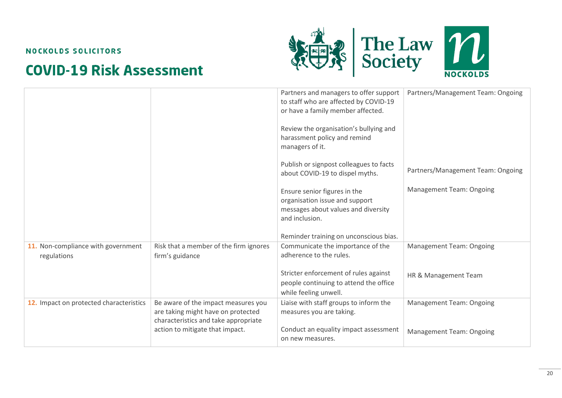



|                                                   |                                                                                                                   | Partners and managers to offer support<br>to staff who are affected by COVID-19<br>or have a family member affected.<br>Review the organisation's bullying and<br>harassment policy and remind<br>managers of it. | Partners/Management Team: Ongoing |
|---------------------------------------------------|-------------------------------------------------------------------------------------------------------------------|-------------------------------------------------------------------------------------------------------------------------------------------------------------------------------------------------------------------|-----------------------------------|
|                                                   |                                                                                                                   | Publish or signpost colleagues to facts<br>about COVID-19 to dispel myths.                                                                                                                                        | Partners/Management Team: Ongoing |
|                                                   |                                                                                                                   | Ensure senior figures in the<br>organisation issue and support<br>messages about values and diversity<br>and inclusion.                                                                                           | <b>Management Team: Ongoing</b>   |
|                                                   |                                                                                                                   | Reminder training on unconscious bias.                                                                                                                                                                            |                                   |
| 11. Non-compliance with government<br>regulations | Risk that a member of the firm ignores<br>firm's guidance                                                         | Communicate the importance of the<br>adherence to the rules.                                                                                                                                                      | <b>Management Team: Ongoing</b>   |
|                                                   |                                                                                                                   | Stricter enforcement of rules against<br>people continuing to attend the office<br>while feeling unwell.                                                                                                          | HR & Management Team              |
| 12. Impact on protected characteristics           | Be aware of the impact measures you<br>are taking might have on protected<br>characteristics and take appropriate | Liaise with staff groups to inform the<br>measures you are taking.                                                                                                                                                | <b>Management Team: Ongoing</b>   |
|                                                   | action to mitigate that impact.                                                                                   | Conduct an equality impact assessment<br>on new measures.                                                                                                                                                         | <b>Management Team: Ongoing</b>   |